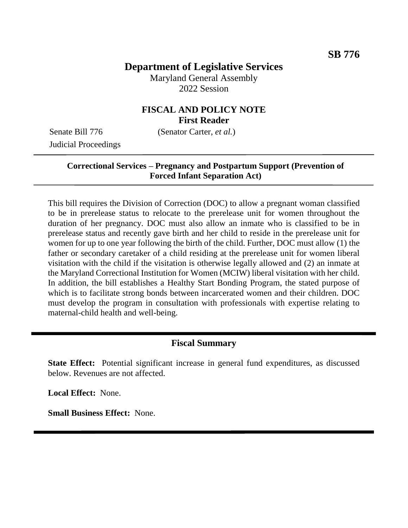# **Department of Legislative Services**

Maryland General Assembly 2022 Session

### **FISCAL AND POLICY NOTE First Reader**

Judicial Proceedings

Senate Bill 776 (Senator Carter, *et al.*)

### **Correctional Services – Pregnancy and Postpartum Support (Prevention of Forced Infant Separation Act)**

This bill requires the Division of Correction (DOC) to allow a pregnant woman classified to be in prerelease status to relocate to the prerelease unit for women throughout the duration of her pregnancy. DOC must also allow an inmate who is classified to be in prerelease status and recently gave birth and her child to reside in the prerelease unit for women for up to one year following the birth of the child. Further, DOC must allow (1) the father or secondary caretaker of a child residing at the prerelease unit for women liberal visitation with the child if the visitation is otherwise legally allowed and (2) an inmate at the Maryland Correctional Institution for Women (MCIW) liberal visitation with her child. In addition, the bill establishes a Healthy Start Bonding Program, the stated purpose of which is to facilitate strong bonds between incarcerated women and their children. DOC must develop the program in consultation with professionals with expertise relating to maternal-child health and well-being.

## **Fiscal Summary**

**State Effect:** Potential significant increase in general fund expenditures, as discussed below. Revenues are not affected.

**Local Effect:** None.

**Small Business Effect:** None.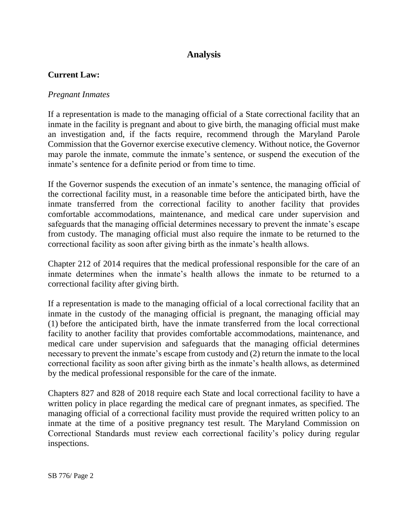# **Analysis**

### **Current Law:**

#### *Pregnant Inmates*

If a representation is made to the managing official of a State correctional facility that an inmate in the facility is pregnant and about to give birth, the managing official must make an investigation and, if the facts require, recommend through the Maryland Parole Commission that the Governor exercise executive clemency. Without notice, the Governor may parole the inmate, commute the inmate's sentence, or suspend the execution of the inmate's sentence for a definite period or from time to time.

If the Governor suspends the execution of an inmate's sentence, the managing official of the correctional facility must, in a reasonable time before the anticipated birth, have the inmate transferred from the correctional facility to another facility that provides comfortable accommodations, maintenance, and medical care under supervision and safeguards that the managing official determines necessary to prevent the inmate's escape from custody. The managing official must also require the inmate to be returned to the correctional facility as soon after giving birth as the inmate's health allows.

Chapter 212 of 2014 requires that the medical professional responsible for the care of an inmate determines when the inmate's health allows the inmate to be returned to a correctional facility after giving birth.

If a representation is made to the managing official of a local correctional facility that an inmate in the custody of the managing official is pregnant, the managing official may (1) before the anticipated birth, have the inmate transferred from the local correctional facility to another facility that provides comfortable accommodations, maintenance, and medical care under supervision and safeguards that the managing official determines necessary to prevent the inmate's escape from custody and (2) return the inmate to the local correctional facility as soon after giving birth as the inmate's health allows, as determined by the medical professional responsible for the care of the inmate.

Chapters 827 and 828 of 2018 require each State and local correctional facility to have a written policy in place regarding the medical care of pregnant inmates, as specified. The managing official of a correctional facility must provide the required written policy to an inmate at the time of a positive pregnancy test result. The Maryland Commission on Correctional Standards must review each correctional facility's policy during regular inspections.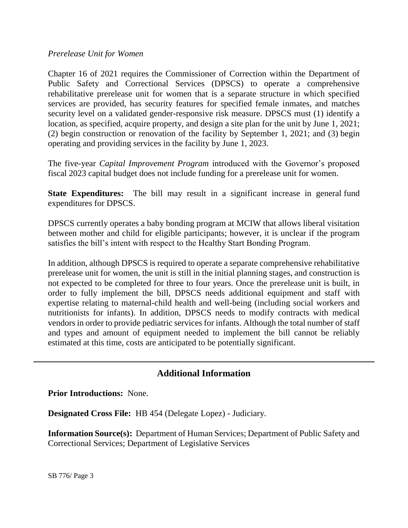#### *Prerelease Unit for Women*

Chapter 16 of 2021 requires the Commissioner of Correction within the Department of Public Safety and Correctional Services (DPSCS) to operate a comprehensive rehabilitative prerelease unit for women that is a separate structure in which specified services are provided, has security features for specified female inmates, and matches security level on a validated gender-responsive risk measure. DPSCS must (1) identify a location, as specified, acquire property, and design a site plan for the unit by June 1, 2021; (2) begin construction or renovation of the facility by September 1, 2021; and (3) begin operating and providing services in the facility by June 1, 2023.

The five-year *Capital Improvement Program* introduced with the Governor's proposed fiscal 2023 capital budget does not include funding for a prerelease unit for women.

**State Expenditures:** The bill may result in a significant increase in general fund expenditures for DPSCS.

DPSCS currently operates a baby bonding program at MCIW that allows liberal visitation between mother and child for eligible participants; however, it is unclear if the program satisfies the bill's intent with respect to the Healthy Start Bonding Program.

In addition, although DPSCS is required to operate a separate comprehensive rehabilitative prerelease unit for women, the unit is still in the initial planning stages, and construction is not expected to be completed for three to four years. Once the prerelease unit is built, in order to fully implement the bill, DPSCS needs additional equipment and staff with expertise relating to maternal-child health and well-being (including social workers and nutritionists for infants). In addition, DPSCS needs to modify contracts with medical vendors in order to provide pediatric services for infants. Although the total number of staff and types and amount of equipment needed to implement the bill cannot be reliably estimated at this time, costs are anticipated to be potentially significant.

## **Additional Information**

**Prior Introductions:** None.

**Designated Cross File:** HB 454 (Delegate Lopez) - Judiciary.

**Information Source(s):** Department of Human Services; Department of Public Safety and Correctional Services; Department of Legislative Services